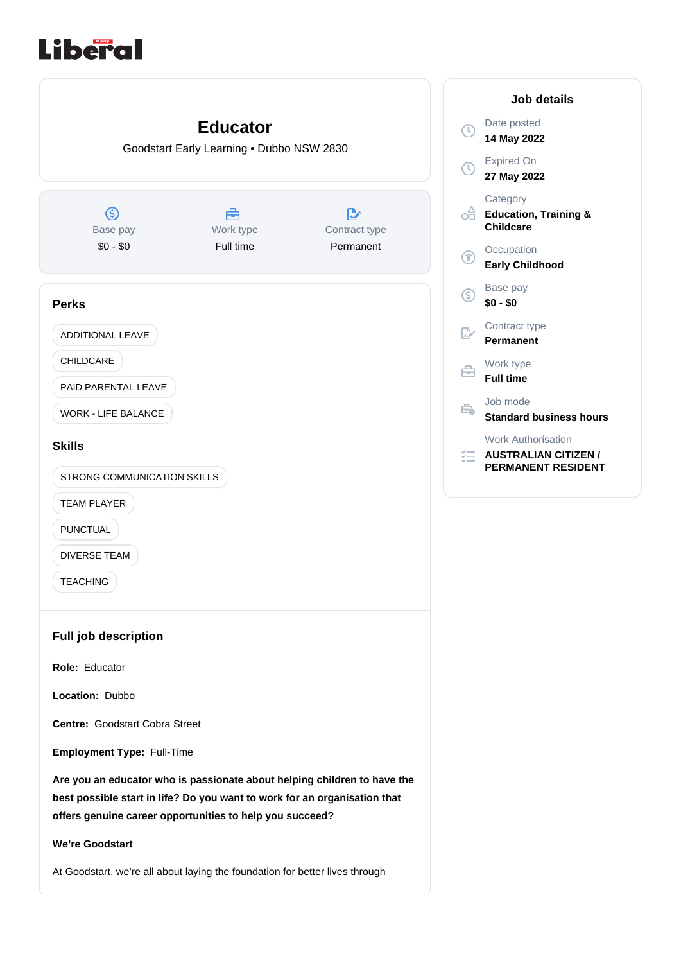# Liberal

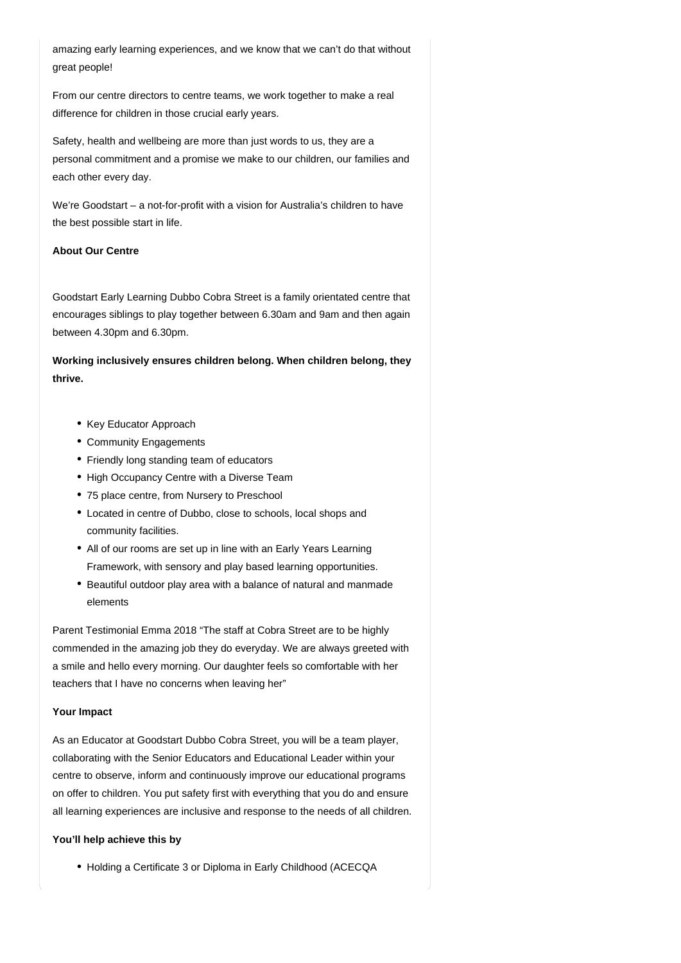amazing early learning experiences, and we know that we can't do that without great people!

From our centre directors to centre teams, we work together to make a real difference for children in those crucial early years.

Safety, health and wellbeing are more than just words to us, they are a personal commitment and a promise we make to our children, our families and each other every day.

We're Goodstart – a not-for-profit with a vision for Australia's children to have the best possible start in life.

#### **About Our Centre**

Goodstart Early Learning Dubbo Cobra Street is a family orientated centre that encourages siblings to play together between 6.30am and 9am and then again between 4.30pm and 6.30pm.

**Working inclusively ensures children belong. When children belong, they thrive.**

- Key Educator Approach
- Community Engagements
- Friendly long standing team of educators
- High Occupancy Centre with a Diverse Team
- 75 place centre, from Nursery to Preschool
- Located in centre of Dubbo, close to schools, local shops and community facilities.
- All of our rooms are set up in line with an Early Years Learning Framework, with sensory and play based learning opportunities.
- Beautiful outdoor play area with a balance of natural and manmade elements

Parent Testimonial Emma 2018 "The staff at Cobra Street are to be highly commended in the amazing job they do everyday. We are always greeted with a smile and hello every morning. Our daughter feels so comfortable with her teachers that I have no concerns when leaving her"

#### **Your Impact**

As an Educator at Goodstart Dubbo Cobra Street, you will be a team player, collaborating with the Senior Educators and Educational Leader within your centre to observe, inform and continuously improve our educational programs on offer to children. You put safety first with everything that you do and ensure all learning experiences are inclusive and response to the needs of all children.

## **You'll help achieve this by**

• Holding a Certificate 3 or Diploma in Early Childhood (ACECQA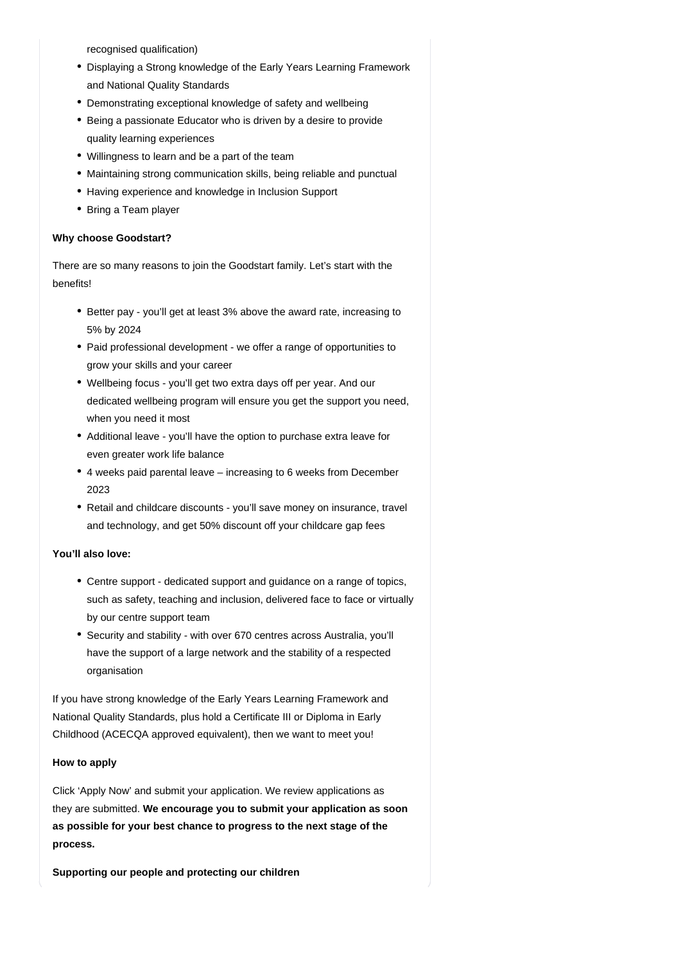recognised qualification)

- Displaying a Strong knowledge of the Early Years Learning Framework and National Quality Standards
- Demonstrating exceptional knowledge of safety and wellbeing
- Being a passionate Educator who is driven by a desire to provide quality learning experiences
- Willingness to learn and be a part of the team
- Maintaining strong communication skills, being reliable and punctual
- Having experience and knowledge in Inclusion Support
- Bring a Team player

## **Why choose Goodstart?**

There are so many reasons to join the Goodstart family. Let's start with the benefits!

- Better pay you'll get at least 3% above the award rate, increasing to 5% by 2024
- Paid professional development we offer a range of opportunities to grow your skills and your career
- Wellbeing focus you'll get two extra days off per year. And our dedicated wellbeing program will ensure you get the support you need, when you need it most
- Additional leave you'll have the option to purchase extra leave for even greater work life balance
- 4 weeks paid parental leave increasing to 6 weeks from December 2023
- Retail and childcare discounts you'll save money on insurance, travel and technology, and get 50% discount off your childcare gap fees

## **You'll also love:**

- Centre support dedicated support and guidance on a range of topics, such as safety, teaching and inclusion, delivered face to face or virtually by our centre support team
- Security and stability with over 670 centres across Australia, you'll have the support of a large network and the stability of a respected organisation

If you have strong knowledge of the Early Years Learning Framework and National Quality Standards, plus hold a Certificate III or Diploma in Early Childhood (ACECQA approved equivalent), then we want to meet you!

## **How to apply**

Click 'Apply Now' and submit your application. We review applications as they are submitted. **We encourage you to submit your application as soon as possible for your best chance to progress to the next stage of the process.**

**Supporting our people and protecting our children**